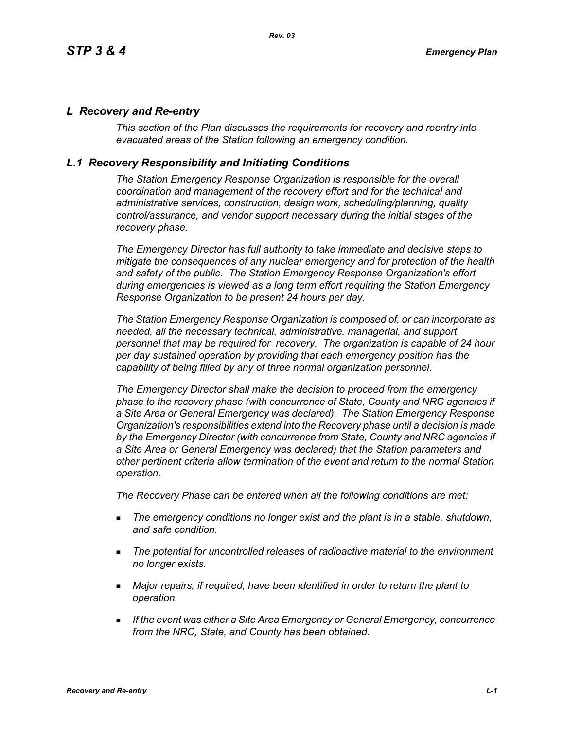#### *L Recovery and Re-entry*

*This section of the Plan discusses the requirements for recovery and reentry into evacuated areas of the Station following an emergency condition.* 

#### *L.1 Recovery Responsibility and Initiating Conditions*

*The Station Emergency Response Organization is responsible for the overall coordination and management of the recovery effort and for the technical and administrative services, construction, design work, scheduling/planning, quality control/assurance, and vendor support necessary during the initial stages of the recovery phase.*

*The Emergency Director has full authority to take immediate and decisive steps to mitigate the consequences of any nuclear emergency and for protection of the health and safety of the public. The Station Emergency Response Organization's effort during emergencies is viewed as a long term effort requiring the Station Emergency Response Organization to be present 24 hours per day.*

*The Station Emergency Response Organization is composed of, or can incorporate as needed, all the necessary technical, administrative, managerial, and support personnel that may be required for recovery. The organization is capable of 24 hour per day sustained operation by providing that each emergency position has the capability of being filled by any of three normal organization personnel.*

*The Emergency Director shall make the decision to proceed from the emergency phase to the recovery phase (with concurrence of State, County and NRC agencies if a Site Area or General Emergency was declared). The Station Emergency Response Organization's responsibilities extend into the Recovery phase until a decision is made by the Emergency Director (with concurrence from State, County and NRC agencies if a Site Area or General Emergency was declared) that the Station parameters and other pertinent criteria allow termination of the event and return to the normal Station operation.*

*The Recovery Phase can be entered when all the following conditions are met:*

- *The emergency conditions no longer exist and the plant is in a stable, shutdown, and safe condition.*
- *The potential for uncontrolled releases of radioactive material to the environment no longer exists.*
- *Major repairs, if required, have been identified in order to return the plant to operation.*
- *If the event was either a Site Area Emergency or General Emergency, concurrence from the NRC, State, and County has been obtained.*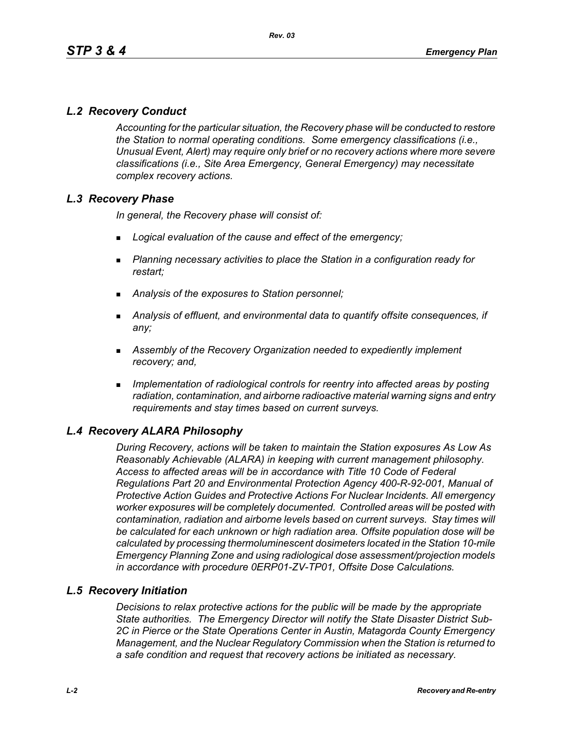# *L.2 Recovery Conduct*

*Accounting for the particular situation, the Recovery phase will be conducted to restore the Station to normal operating conditions. Some emergency classifications (i.e., Unusual Event, Alert) may require only brief or no recovery actions where more severe classifications (i.e., Site Area Emergency, General Emergency) may necessitate complex recovery actions.*

## *L.3 Recovery Phase*

*In general, the Recovery phase will consist of:*

- *Logical evaluation of the cause and effect of the emergency;*
- *Planning necessary activities to place the Station in a configuration ready for restart;*
- *Analysis of the exposures to Station personnel;*
- *Analysis of effluent, and environmental data to quantify offsite consequences, if any;*
- *Assembly of the Recovery Organization needed to expediently implement recovery; and,*
- *Implementation of radiological controls for reentry into affected areas by posting radiation, contamination, and airborne radioactive material warning signs and entry requirements and stay times based on current surveys.*

## *L.4 Recovery ALARA Philosophy*

*During Recovery, actions will be taken to maintain the Station exposures As Low As Reasonably Achievable (ALARA) in keeping with current management philosophy. Access to affected areas will be in accordance with Title 10 Code of Federal Regulations Part 20 and Environmental Protection Agency 400-R-92-001, Manual of Protective Action Guides and Protective Actions For Nuclear Incidents. All emergency worker exposures will be completely documented. Controlled areas will be posted with contamination, radiation and airborne levels based on current surveys. Stay times will be calculated for each unknown or high radiation area. Offsite population dose will be calculated by processing thermoluminescent dosimeters located in the Station 10-mile Emergency Planning Zone and using radiological dose assessment/projection models in accordance with procedure 0ERP01-ZV-TP01, Offsite Dose Calculations.*

#### *L.5 Recovery Initiation*

*Decisions to relax protective actions for the public will be made by the appropriate State authorities. The Emergency Director will notify the State Disaster District Sub-2C in Pierce or the State Operations Center in Austin, Matagorda County Emergency Management, and the Nuclear Regulatory Commission when the Station is returned to a safe condition and request that recovery actions be initiated as necessary.*